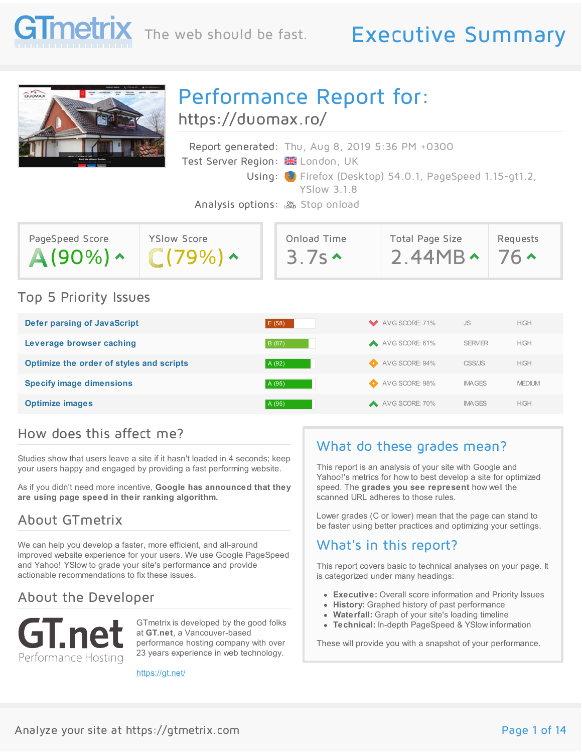

## The web should be fast. Executive Summary



# Performance Report for:

<https://duomax.ro/>

|                                               | Report generated: Thu, Aug 8, 2019 5:36 PM +0300                               |
|-----------------------------------------------|--------------------------------------------------------------------------------|
| Test Server Region: <b>XX</b> London, UK      |                                                                                |
|                                               | Using: C Firefox (Desktop) 54.0.1, PageSpeed 1.15-gt1.2,<br><b>YSlow 3.1.8</b> |
| Analysis options: <sub>LOND</sub> Stop onload |                                                                                |

| PageSpeed Score       | <b>YSlow Score</b> | Onload Time | Total Page Size | Requests   |
|-----------------------|--------------------|-------------|-----------------|------------|
| $A(90\%) \sim$        | C(79%)             | 3.7s        | $2.44MB \cdot$  | $76 \cdot$ |
| Top 5 Priority Issues |                    |             |                 |            |

| Defer parsing of JavaScript              | E(58)  | AVG SCORE: 71%   | <b>JS</b>     | <b>HIGH</b>   |
|------------------------------------------|--------|------------------|---------------|---------------|
| Leverage browser caching                 | B (87) | AVG SCORE: 61%   | <b>SERVER</b> | <b>HIGH</b>   |
| Optimize the order of styles and scripts | A (92) | AVG SCORE: 94%   | CSS/JS        | <b>HIGH</b>   |
| <b>Specify image dimensions</b>          | A (95) | AVG SCORE: 98%   | <b>IMAGES</b> | <b>MEDIUM</b> |
| <b>Optimize images</b>                   | A (95) | A AVG SCORE: 70% | <b>IMAGES</b> | <b>HIGH</b>   |

#### How does this affect me?

Studies show that users leave a site if it hasn't loaded in 4 seconds; keep your users happy and engaged by providing a fast performing website.

As if you didn't need more incentive, **Google has announced that they are using page speed in their ranking algorithm.**

#### About GTmetrix

We can help you develop a faster, more efficient, and all-around improved website experience for your users. We use Google PageSpeed and Yahoo! YSlow to grade your site's performance and provide actionable recommendations to fix these issues.

#### About the Developer



GTmetrix is developed by the good folks at **GT.net**, a Vancouver-based performance hosting company with over 23 years experience in web technology.

<https://gt.net/>

#### What do these grades mean?

This report is an analysis of your site with Google and Yahoo!'s metrics for how to best develop a site for optimized speed. The **grades you see represent** how well the scanned URL adheres to those rules.

Lower grades (C or lower) mean that the page can stand to be faster using better practices and optimizing your settings.

#### What's in this report?

This report covers basic to technical analyses on your page. It is categorized under many headings:

- **Executive:** Overall score information and Priority Issues
- **History:** Graphed history of past performance
- **Waterfall:** Graph of your site's loading timeline
- **Technical:** In-depth PageSpeed & YSlow information

These will provide you with a snapshot of your performance.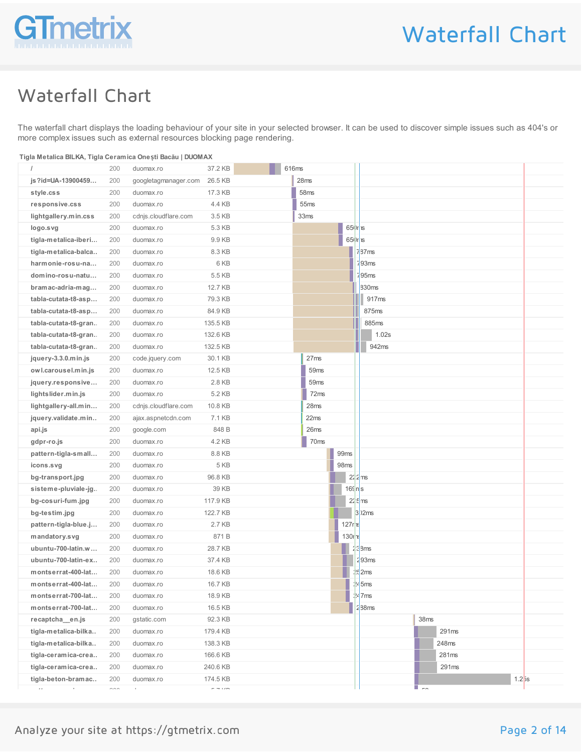

### Waterfall Chart

The waterfall chart displays the loading behaviour of your site in your selected browser. It can be used to discover simple issues such as 404's or more complex issues such as external resources blocking page rendering.

| Tigla Metalica BILKA, Tigla Ceramica Onești Bacău   DUOMAX |  |
|------------------------------------------------------------|--|
|                                                            |  |
|                                                            |  |

|                                     | 200                                                                            | duomax.ro            | 37.2 KB                           | 616ms |                  |            |                     |                    |                            |       |                     |  |
|-------------------------------------|--------------------------------------------------------------------------------|----------------------|-----------------------------------|-------|------------------|------------|---------------------|--------------------|----------------------------|-------|---------------------|--|
| js?id=UA-13900459                   | 200                                                                            | googletagmanager.com | 26.5 KB                           |       | 28ms             |            |                     |                    |                            |       |                     |  |
| style.css                           | 200                                                                            | duomax.ro            | 17.3 KB                           |       | 58 <sub>ms</sub> |            |                     |                    |                            |       |                     |  |
| responsive.css                      | 200                                                                            | duomax.ro            | 4.4 KB                            |       | 55ms             |            |                     |                    |                            |       |                     |  |
| lightgallery.min.css                | 200                                                                            | cdnjs.cloudflare.com | 3.5 KB                            |       | 33 <sub>ms</sub> |            |                     |                    |                            |       |                     |  |
| logo.svg                            | 200                                                                            | duomax.ro            | 5.3 KB                            |       |                  | $65$ Ir is |                     |                    |                            |       |                     |  |
| tigla-metalica-iberi                | 200                                                                            | duomax.ro            | 9.9 KB                            |       |                  | $65$ Ir is |                     |                    |                            |       |                     |  |
| tigla-metalica-balca                | 200                                                                            | duomax.ro            | 8.3 KB                            |       |                  |            |                     | 787ms              |                            |       |                     |  |
| harmonie-rosu-na                    | 200                                                                            | duomax.ro            | 6 KB                              |       |                  |            |                     | $\frac{1}{93}$ ms  |                            |       |                     |  |
| domino-rosu-natu                    | 200                                                                            | duomax.ro            | 5.5 KB                            |       |                  |            |                     | 95 <sub>ms</sub>   |                            |       |                     |  |
| bramac-adria-mag                    | 200                                                                            | duomax.ro            | 12.7 KB                           |       |                  |            |                     | 830ms              |                            |       |                     |  |
| tabla-cutata-t8-asp                 | 200                                                                            | duomax.ro            | 79.3 KB                           |       |                  |            |                     | 917 <sub>ms</sub>  |                            |       |                     |  |
| tabla-cutata-t8-asp                 | 200                                                                            | duomax.ro            | 84.9 KB                           |       |                  |            |                     | 875ms              |                            |       |                     |  |
| tabla-cutata-t8-gran                | 200                                                                            | duomax.ro            | 135.5 KB                          |       |                  |            |                     | 885ms              |                            |       |                     |  |
| tabla-cutata-t8-gran                | 200                                                                            | duomax.ro            | 132.6 KB                          |       |                  |            |                     | 1.02s              |                            |       |                     |  |
| tabla-cutata-t8-gran                | 200                                                                            | duomax.ro            | 132.5 KB                          |       |                  |            |                     | 942ms              |                            |       |                     |  |
| jquery-3.3.0.min.js                 | 200                                                                            | code.jquery.com      | 30.1 KB                           |       | 27ms             |            |                     |                    |                            |       |                     |  |
| owl.carousel.min.js                 | 200                                                                            | duomax.ro            | 12.5 KB                           |       | 59ms             |            |                     |                    |                            |       |                     |  |
| jquery.responsive                   | 200                                                                            | duomax.ro            | 2.8 KB                            |       | 59 <sub>ms</sub> |            |                     |                    |                            |       |                     |  |
| lightslider.min.js                  | 200                                                                            | duomax.ro            | 5.2 KB                            |       | 72ms             |            |                     |                    |                            |       |                     |  |
| lightgallery-all.min                | 200                                                                            | cdnjs.cloudflare.com | 10.8 KB                           |       | 28ms             |            |                     |                    |                            |       |                     |  |
| jquery.validate.min                 | 200                                                                            | ajax.aspnetcdn.com   | 7.1 KB                            |       | 22ms             |            |                     |                    |                            |       |                     |  |
| api.js                              | 200                                                                            | google.com           | 848 B                             |       | 26ms             |            |                     |                    |                            |       |                     |  |
| gdpr-ro.js                          | 200                                                                            | duomax.ro            | 4.2 KB                            |       | 70ms             |            |                     |                    |                            |       |                     |  |
| pattern-tigla-small                 | 200                                                                            | duomax.ro            | 8.8 KB                            |       |                  | 99ms       |                     |                    |                            |       |                     |  |
| icons.svg                           | 200                                                                            | duomax.ro            | 5 KB                              |       |                  | 98ms       |                     |                    |                            |       |                     |  |
| bg-transport.jpg                    | 200                                                                            | duomax.ro            | 96.8 KB                           |       |                  |            | $2\sqrt{2}$ ms      |                    |                            |       |                     |  |
| sisteme-pluviale-jg                 | 200                                                                            | duomax.ro            | 39 KB                             |       |                  | $16$ ns    |                     |                    |                            |       |                     |  |
| bg-cosuri-fum.jpg                   | 200                                                                            | duomax.ro            | 117.9 KB                          |       |                  |            | $2/5$ <sub>ms</sub> |                    |                            |       |                     |  |
| bg-testim.jpg                       | 200                                                                            | duomax.ro            | 122.7 KB                          |       |                  |            |                     | $3$ )2 $ms$        |                            |       |                     |  |
| pattern-tigla-blue.j                | 200                                                                            | duomax.ro            | 2.7 KB                            |       |                  | 127r       |                     |                    |                            |       |                     |  |
| mandatory.svg                       | 200                                                                            | duomax.ro            | 871B                              |       |                  | 130        |                     |                    |                            |       |                     |  |
| ubuntu-700-latin.w                  | 200                                                                            | duomax.ro            | 28.7 KB                           |       |                  |            |                     | 28ms               |                            |       |                     |  |
| ubuntu-700-latin-ex                 | 200                                                                            | duomax.ro            | 37.4 KB                           |       |                  |            |                     | 293ms              |                            |       |                     |  |
| montserrat-400-lat                  | 200                                                                            | duomax.ro            | 18.6 KB                           |       |                  |            |                     | $\frac{15}{2}$ 2ms |                            |       |                     |  |
| montserrat-400-lat                  | 200                                                                            | duomax.ro            | 16.7 KB                           |       |                  |            |                     | $\frac{1}{2}$ 5ms  |                            |       |                     |  |
| montserrat-700-lat                  | 200                                                                            | duomax.ro            | 18.9 KB                           |       |                  |            |                     | $\frac{1}{2}$ 7 ms |                            |       |                     |  |
| montserrat-700-lat                  | 200                                                                            | duomax.ro            | 16.5 KB                           |       |                  |            |                     | 288ms              |                            |       |                     |  |
| recaptcha_en.js                     | 200                                                                            | gstatic.com          | 92.3 KB                           |       |                  |            |                     |                    | 38 <sub>ms</sub>           |       |                     |  |
| tigla-metalica-bilka                | 200                                                                            | duomax.ro            | 179.4 KB                          |       |                  |            |                     |                    |                            | 291ms |                     |  |
| tigla-metalica-bilka                | 200                                                                            | duomax.ro            | 138.3 KB                          |       |                  |            |                     |                    |                            | 248ms |                     |  |
| tigla-ceramica-crea                 | 200                                                                            | duomax.ro            | 166.6 KB                          |       |                  |            |                     |                    |                            | 281ms |                     |  |
| tigla-ceramica-crea                 | 200                                                                            | duomax.ro            | 240.6 KB                          |       |                  |            |                     |                    |                            | 291ms |                     |  |
| tigla-beton-bramac<br>$\sim$ $\sim$ | 200<br>$\widehat{\phantom{a}}$ $\widehat{\phantom{a}}$ $\widehat{\phantom{a}}$ | duomax.ro<br>$\cdot$ | 174.5 KB<br>$  \cdot$ $\cdot$ $-$ |       |                  |            |                     | П                  | $\overline{\phantom{a}}$ . |       | $1.2$ <sub>js</sub> |  |
|                                     |                                                                                |                      |                                   |       |                  |            |                     |                    |                            |       |                     |  |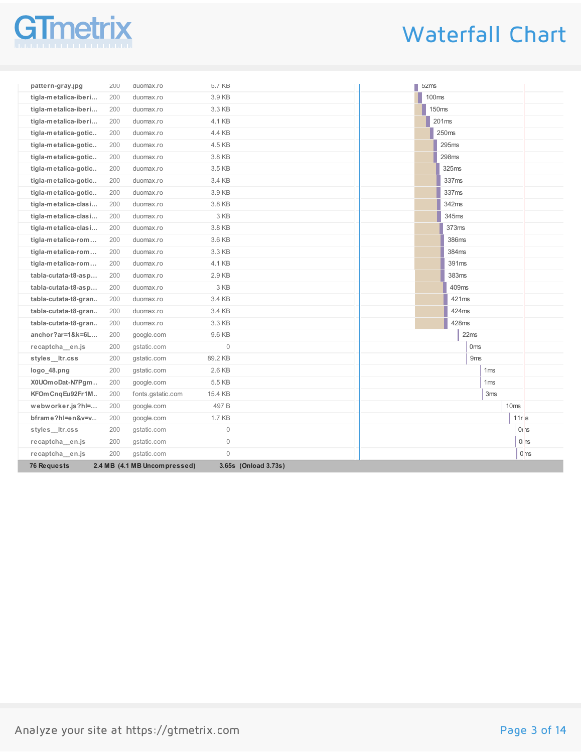# netriy

# Waterfall Chart

| pattern-gray.jpg     | 200 | duomax.ro                    | 5.7 KB              |                      | 52ms         |                   |                 |                 |                    |                     |
|----------------------|-----|------------------------------|---------------------|----------------------|--------------|-------------------|-----------------|-----------------|--------------------|---------------------|
| tigla-metalica-iberi | 200 | duomax.ro                    | 3.9 KB              |                      | <b>100ms</b> |                   |                 |                 |                    |                     |
| tigla-metalica-iberi | 200 | duomax.ro                    | 3.3 KB              |                      |              | 150ms             |                 |                 |                    |                     |
| tigla-metalica-iberi | 200 | duomax.ro                    | 4.1 KB              |                      |              | 201 <sub>ms</sub> |                 |                 |                    |                     |
| tigla-metalica-gotic | 200 | duomax.ro                    | 4.4 KB              |                      |              | 250ms             |                 |                 |                    |                     |
| tigla-metalica-gotic | 200 | duomax.ro                    | 4.5 KB              |                      |              | 295ms             |                 |                 |                    |                     |
| tigla-metalica-gotic | 200 | duomax.ro                    | 3.8 KB              |                      |              | 298ms             |                 |                 |                    |                     |
| tigla-metalica-gotic | 200 | duomax.ro                    | 3.5 KB              |                      |              | 325ms             |                 |                 |                    |                     |
| tigla-metalica-gotic | 200 | duomax.ro                    | 3.4 KB              |                      |              | 337ms             |                 |                 |                    |                     |
| tigla-metalica-gotic | 200 | duomax.ro                    | 3.9 KB              |                      |              | 337ms             |                 |                 |                    |                     |
| tigla-metalica-clasi | 200 | duomax.ro                    | 3.8 KB              |                      |              | 342ms             |                 |                 |                    |                     |
| tigla-metalica-clasi | 200 | duomax.ro                    | 3 KB                |                      |              | 345ms             |                 |                 |                    |                     |
| tigla-metalica-clasi | 200 | duomax.ro                    | 3.8 KB              |                      |              | 373ms             |                 |                 |                    |                     |
| tigla-metalica-rom   | 200 | duomax.ro                    | 3.6 KB              |                      |              | 386ms             |                 |                 |                    |                     |
| tigla-metalica-rom   | 200 | duomax.ro                    | 3.3 KB              |                      |              | 384ms             |                 |                 |                    |                     |
| tigla-metalica-rom   | 200 | duomax.ro                    | 4.1 KB              |                      |              | 391ms             |                 |                 |                    |                     |
| tabla-cutata-t8-asp  | 200 | duomax.ro                    | 2.9 KB              |                      |              | 383ms             |                 |                 |                    |                     |
| tabla-cutata-t8-asp  | 200 | duomax.ro                    | 3 KB                |                      |              | 409ms             |                 |                 |                    |                     |
| tabla-cutata-t8-gran | 200 | duomax.ro                    | 3.4 KB              |                      |              | 421ms             |                 |                 |                    |                     |
| tabla-cutata-t8-gran | 200 | duomax.ro                    | 3.4 KB              |                      |              | 424ms             |                 |                 |                    |                     |
| tabla-cutata-t8-gran | 200 | duomax.ro                    | 3.3 KB              |                      |              | 428ms             |                 |                 |                    |                     |
| anchor?ar=1&k=6L     | 200 | google.com                   | 9.6 KB              |                      |              |                   | 22ms            |                 |                    |                     |
| recaptcha en.js      | 200 | gstatic.com                  | $\mathbb O$         |                      |              |                   | 0 <sub>ms</sub> |                 |                    |                     |
| styles Itr.css       | 200 | gstatic.com                  | 89.2 KB             |                      |              |                   | 9 <sub>ms</sub> |                 |                    |                     |
| logo_48.png          | 200 | gstatic.com                  | 2.6 KB              |                      |              |                   |                 | 1 <sub>ms</sub> |                    |                     |
| X0UOm oDat-N7Pgm     | 200 | google.com                   | 5.5 KB              |                      |              |                   |                 | 1 <sub>ms</sub> |                    |                     |
| KFOm CngEu92Fr1M     | 200 | fonts.gstatic.com            | 15.4 KB             |                      |              |                   |                 | 3ms             |                    |                     |
| webworker.js?hl=     | 200 | google.com                   | 497 <sub>B</sub>    |                      |              |                   |                 | 10ms            |                    |                     |
| bframe?hl=en&v=v     | 200 | google.com                   | 1.7 KB              |                      |              |                   |                 |                 | $11r$ <sub>s</sub> |                     |
| styles_ltr.css       | 200 | gstatic.com                  | $\mathsf{O}\xspace$ |                      |              |                   |                 |                 |                    | $0$ l <sub>1s</sub> |
| recaptcha en.js      | 200 | gstatic.com                  | $\circledcirc$      |                      |              |                   |                 |                 |                    | $0 \text{ ns}$      |
| recaptcha_en.js      | 200 | gstatic.com                  | $\mathbf 0$         |                      |              |                   |                 |                 |                    | 0 <sub>ms</sub>     |
| 76 Requests          |     | 2.4 MB (4.1 MB Uncompressed) |                     | 3.65s (Onload 3.73s) |              |                   |                 |                 |                    |                     |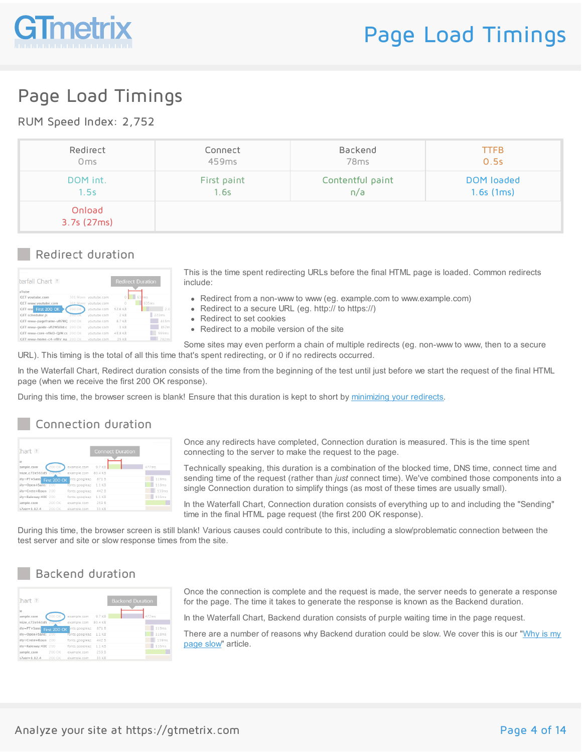

### Page Load Timings

#### RUM Speed Index: 2,752

| Redirect             | Connect     | Backend          | <b>TTFB</b>  |
|----------------------|-------------|------------------|--------------|
| 0 <sub>ms</sub>      | 459ms       | 78 <sub>ms</sub> | 0.5s         |
| DOM int.             | First paint | Contentful paint | DOM loaded   |
| 1.5s                 | 1.6s        | n/a              | $1.6s$ (1ms) |
| Onload<br>3.7s(27ms) |             |                  |              |

#### Redirect duration

| terfall Chart ?<br><b>uTube</b>  |               |                       |          | <b>Redirect Duration</b> |
|----------------------------------|---------------|-----------------------|----------|--------------------------|
| <b>GET</b> voutube.com           |               | 301 Mover youtube.com | $\Omega$ | 63 kms                   |
| GET www.voutube.com              |               | 301 Move voutube.com  | n        | 635ms                    |
| GET www First 200 OK             | 200 OK        | voutube.com           | 52.6 KB  | 2.0                      |
| <b>CET</b> scheduler.js          | <b>ZUU OK</b> | voutube.com           | $2$ KR   | 222ms                    |
| GET www-pageframe-vfl7RC 200 OK  |               | voutube.com           | 87 KB    | 833m <sup>c</sup>        |
| GET www-quide-vfl2WSEld.c 200 OK |               | voutube.com           | 3 KB     | 857ms                    |
| CET www-core-vflkD-OiW.cs 200 OK |               | voutube.com           | 43.8 KB  | 599ms                    |
| CFT www-home-c4-yfllV_na_200.OK  |               | voutube com           | 25 KR    | 782ms                    |

This is the time spent redirecting URLs before the final HTML page is loaded. Common redirects include:

- Redirect from a non-www to www (eg. example.com to www.example.com)
- Redirect to a secure URL (eg. http:// to https://)
- Redirect to set cookies
- Redirect to a mobile version of the site

Some sites may even perform a chain of multiple redirects (eg. non-www to www, then to a secure URL). This timing is the total of all this time that's spent redirecting, or 0 if no redirects occurred.

In the Waterfall Chart, Redirect duration consists of the time from the beginning of the test until just before we start the request of the final HTML page (when we receive the first 200 OK response).

During this time, the browser screen is blank! Ensure that this duration is kept to short by [minimizing](https://gtmetrix.com/minimize-redirects.html) your redirects.

#### Connection duration

| [hat:                     |              |                | <b>Connect Duration</b> |       |
|---------------------------|--------------|----------------|-------------------------|-------|
| te                        |              |                |                         |       |
| ample.com                 | 200 OK       | example.com    | 9.7 KB                  | 477ms |
| mize_c72e561d5            | 200 OK       | example.com    | 80.4 KB                 |       |
| illy=PT+Sans              | First 200 OK | ints.googleap  | 871 B                   | 119ms |
| ilv=Open+Sans: 200        |              | fonts.googleap | 1.1 KB                  | 118ms |
| ilv=Crete+Roun 200        |              | fonts.googleap | 442 R                   | 139ms |
| ily=Raleway:400 200       |              | fonts.googleap | 1.1 KB                  | 116ms |
| ample.com                 | 200 OK       | example.com    | 259 B                   |       |
| $s\lambda\rho r = 1 12 4$ | 200 OK       | example.com    | 33 KB                   |       |

Once any redirects have completed, Connection duration is measured. This is the time spent connecting to the server to make the request to the page.

Technically speaking, this duration is a combination of the blocked time, DNS time, connect time and sending time of the request (rather than *just* connect time). We've combined those components into a single Connection duration to simplify things (as most of these times are usually small).

In the Waterfall Chart, Connection duration consists of everything up to and including the "Sending" time in the final HTML page request (the first 200 OK response).

During this time, the browser screen is still blank! Various causes could contribute to this, including a slow/problematic connection between the test server and site or slow response times from the site.

#### Backend duration

| $h$ art ?                                  |        |                |         | <b>Backend Duration</b> |       |
|--------------------------------------------|--------|----------------|---------|-------------------------|-------|
| te                                         |        |                |         |                         |       |
| ample.com                                  | 200 OK | example.com    | 9.7 KB  |                         | 477ms |
| mize_c72e561d5_200-OK                      |        | example.com    | 80.4 KB |                         |       |
| illy=PT+Sans First 200 OK                  |        | onts.googleap  | 871 B   |                         | 119ms |
| illy=Open+Sans: 200                        |        | fonts.googleap | 1.1 KB  |                         | 118ms |
| ilv=Crete+Roun 200                         |        | fonts.googleap | 442 B   |                         | 139ms |
| ily=Raleway:400 200                        |        | fonts.googleap | 1.1 KB  |                         | 116ms |
| ample.com                                  | 200 OK | example.com    | 259 B   |                         |       |
| $\epsilon$ $\lambda$ sor $-1$ 12 $\Lambda$ | 200 OK | evample com    | 33 KR   |                         |       |

Once the connection is complete and the request is made, the server needs to generate a response for the page. The time it takes to generate the response is known as the Backend duration.

In the Waterfall Chart, Backend duration consists of purple waiting time in the page request.

There are a number of reasons why [Backend](https://gtmetrix.com/why-is-my-page-slow.html) duration could be slow. We cover this is our "Why is my page slow" article.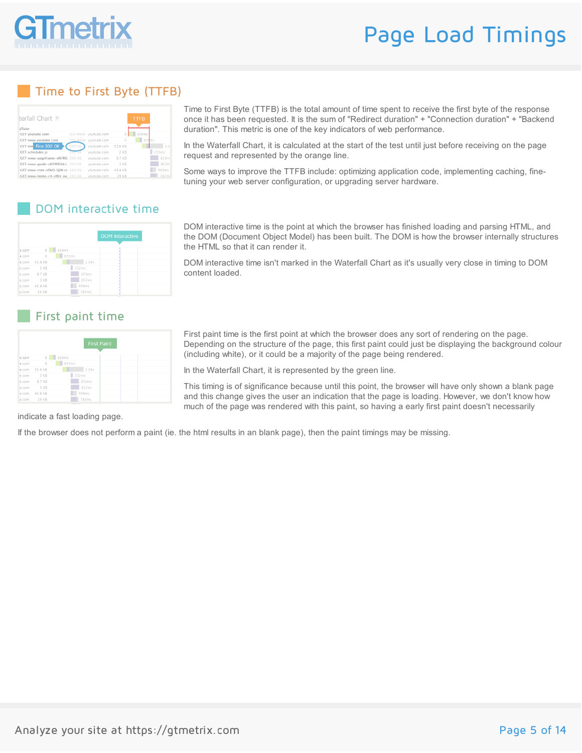

### Page Load Timings

#### Time to First Byte (TTFB)

| terfall Chart ?<br><b>uTube</b>  |               |                       |          | <b>TTFB</b> |                   |
|----------------------------------|---------------|-----------------------|----------|-------------|-------------------|
| <b>GET</b> voutube.com           |               | 301 Mover voutube.com | $\Omega$ | 638ms       |                   |
| GET www.voutube.com              |               | 301 Move voutube.com  | n        | 635ms       |                   |
| GET www First 200 OK             | 200 OK        | voutube.com           | 52.6 KB  |             | 2.01              |
| <b>CET</b> scheduler.is          | <b>200.0K</b> | youtube.com           | $2$ KR   |             | 222ms             |
| GET www-pageframe-vfl7RC 200 OK  |               | voutube.com           | 87 KB    |             | 833m <sup>c</sup> |
| GET www-quide-vfl2WSEld.c 200 OK |               | voutube.com           | 3 KB     |             | 857ms             |
| CET www-core-vflkD-OiW.cs 200 OK |               | voutube.com           | 43.8 KB  |             | 599ms             |
| CFT www-home-c4-yfllV_na_200.OK  |               | voutube com           | 25 KR    |             | 782ms             |

Time to First Byte (TTFB) is the total amount of time spent to receive the first byte of the response once it has been requested. It is the sum of "Redirect duration" + "Connection duration" + "Backend duration". This metric is one of the key indicators of web performance.

In the Waterfall Chart, it is calculated at the start of the test until just before receiving on the page request and represented by the orange line.

Some ways to improve the TTFB include: optimizing application code, implementing caching, finetuning your web server configuration, or upgrading server hardware.

#### DOM interactive time

|       |         |            | <b>DOM</b> Interactive |
|-------|---------|------------|------------------------|
|       |         |            |                        |
| e.com | $\circ$ | 638ms      |                        |
| e.com | $\circ$ | 635ms<br>٠ |                        |
| e.com | 52.6 KB | 2.09s      |                        |
| e.com | 2 KB    | 222ms      |                        |
| e.com | 87 KB   | 833ms      |                        |
| e.com | 3 KB    | 857ms      |                        |
| e.com | 43.8 KB | 599ms      |                        |
| e.com | 25 KB   | 782ms      |                        |

#### First paint time

|       |              | <b>First Paint</b> |  |
|-------|--------------|--------------------|--|
| e.com | $\circ$      | 638ms<br>٠         |  |
| e.com | $\circ$      | 635ms              |  |
| e.com | 52.6 KB      | 2.09s              |  |
| e.com | 2 KB         | 222ms              |  |
|       | e.com 8.7 KB | 833ms              |  |
| e.com | 3 KB         | 857ms              |  |
| e.com | 43.8 KB      | 599ms              |  |
|       | e.com 25 KB  | 782ms              |  |

DOM interactive time is the point at which the browser has finished loading and parsing HTML, and the DOM (Document Object Model) has been built. The DOM is how the browser internally structures the HTML so that it can render it.

DOM interactive time isn't marked in the Waterfall Chart as it's usually very close in timing to DOM content loaded.

First paint time is the first point at which the browser does any sort of rendering on the page. Depending on the structure of the page, this first paint could just be displaying the background colour (including white), or it could be a majority of the page being rendered.

In the Waterfall Chart, it is represented by the green line.

This timing is of significance because until this point, the browser will have only shown a blank page and this change gives the user an indication that the page is loading. However, we don't know how much of the page was rendered with this paint, so having a early first paint doesn't necessarily

indicate a fast loading page.

If the browser does not perform a paint (ie. the html results in an blank page), then the paint timings may be missing.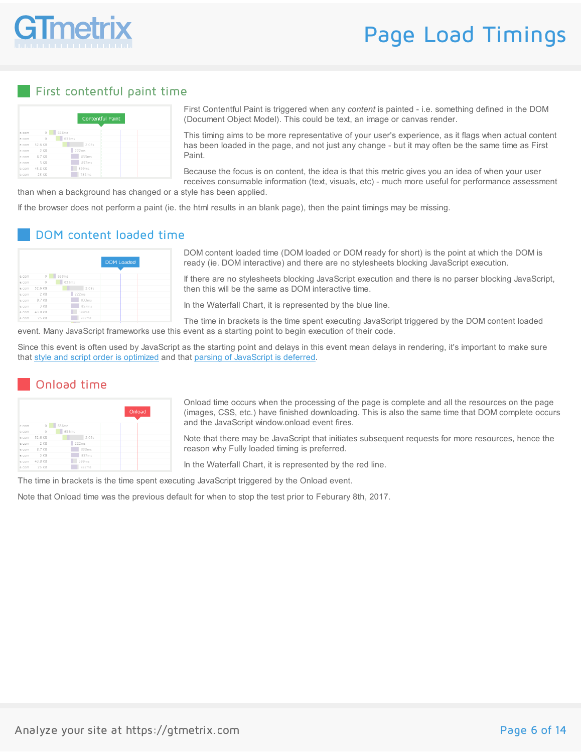

## Page Load Timings

#### First contentful paint time

|        |                                  |             | <b>Contentful Paint</b> |
|--------|----------------------------------|-------------|-------------------------|
|        |                                  |             |                         |
| e.com  | $\begin{array}{c} 0 \end{array}$ | 638ms<br>H. |                         |
| le.com | $\circ$                          | 635ms       |                         |
| e.com  | 52.6 KB                          | 2.09s       |                         |
|        | le.com 2 KB                      | 222ms       |                         |
|        | $e$ com $87$ KB                  | 833ms       |                         |
| e.com  | 3 KB                             | 857ms       |                         |
| e.com  | 43.8 KB                          | 599ms       |                         |
| e.com  | 25 KB                            | 782ms       |                         |

First Contentful Paint is triggered when any *content* is painted - i.e. something defined in the DOM (Document Object Model). This could be text, an image or canvas render.

This timing aims to be more representative of your user's experience, as it flags when actual content has been loaded in the page, and not just any change - but it may often be the same time as First Paint.

Because the focus is on content, the idea is that this metric gives you an idea of when your user receives consumable information (text, visuals, etc) - much more useful for performance assessment

than when a background has changed or a style has been applied.

If the browser does not perform a paint (ie. the html results in an blank page), then the paint timings may be missing.

#### DOM content loaded time

|        |          |       | <b>DOM Loaded</b> |
|--------|----------|-------|-------------------|
| e.com  | $\theta$ | 638ms |                   |
| le.com | $\circ$  | 635ms |                   |
| e.com  | 52.6 KB  | 2.09s |                   |
| e.com  | $2$ KR   | 222ms |                   |
| e.com  | 8.7 KB   | 833ms |                   |
| e.com  | 3 KB     | 857ms |                   |
| e.com  | 43.8 KB  | 599ms |                   |
| e.com  | 25 KB    | 782ms |                   |
|        |          |       |                   |

DOM content loaded time (DOM loaded or DOM ready for short) is the point at which the DOM is ready (ie. DOM interactive) and there are no stylesheets blocking JavaScript execution.

If there are no stylesheets blocking JavaScript execution and there is no parser blocking JavaScript, then this will be the same as DOM interactive time.

In the Waterfall Chart, it is represented by the blue line.

The time in brackets is the time spent executing JavaScript triggered by the DOM content loaded event. Many JavaScript frameworks use this event as a starting point to begin execution of their code.

Since this event is often used by JavaScript as the starting point and delays in this event mean delays in rendering, it's important to make sure that style and script order is [optimized](https://gtmetrix.com/optimize-the-order-of-styles-and-scripts.html) and that parsing of [JavaScript](https://gtmetrix.com/defer-parsing-of-javascript.html) is deferred.

#### Onload time

|       |         |            | Onload |
|-------|---------|------------|--------|
| e.com | $\circ$ | 638ms<br>٠ |        |
| e.com | $\circ$ | 635ms      |        |
| e.com | 52.6 KB | 2.09s      |        |
| e.com | 2 KB    | 222ms      |        |
| e.com | 8.7 KB  | 833ms      |        |
| e.com | 3 KB    | 857ms      |        |
| e.com | 43.8 KB | 599ms      |        |
| A COM | つに レロ   | 702mm      |        |

Onload time occurs when the processing of the page is complete and all the resources on the page (images, CSS, etc.) have finished downloading. This is also the same time that DOM complete occurs and the JavaScript window.onload event fires.

Note that there may be JavaScript that initiates subsequent requests for more resources, hence the reason why Fully loaded timing is preferred.

In the Waterfall Chart, it is represented by the red line.

The time in brackets is the time spent executing JavaScript triggered by the Onload event.

Note that Onload time was the previous default for when to stop the test prior to Feburary 8th, 2017.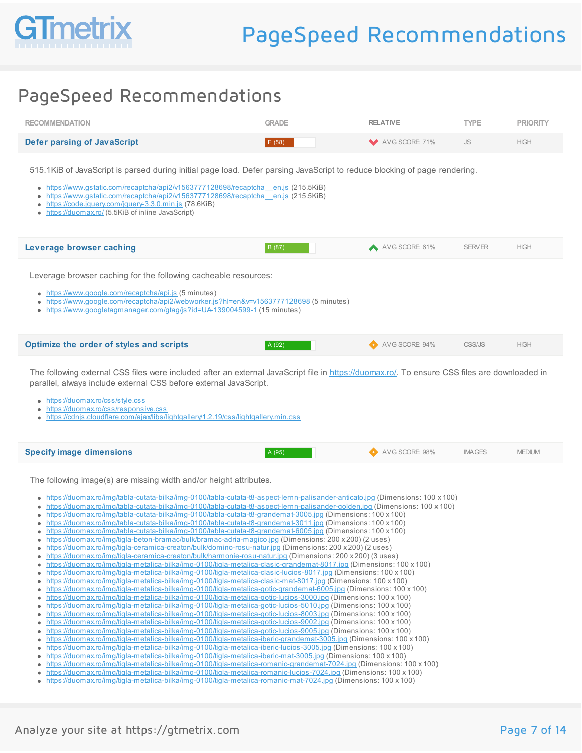

| <b>RECOMMENDATION</b>       | <b>GRADE</b> | <b>RELATIVE</b> | <b>TYPE</b> | <b>PRIORITY</b> |
|-----------------------------|--------------|-----------------|-------------|-----------------|
| Defer parsing of JavaScript | E(58)        | AVG SCORE: 71%  | JS.         | <b>HIGH</b>     |

515.1KiB of JavaScript is parsed during initial page load. Defer parsing JavaScript to reduce blocking of page rendering.

- [https://www.gstatic.com/recaptcha/api2/v1563777128698/recaptcha\\_\\_en.js](https://www.gstatic.com/recaptcha/api2/v1563777128698/recaptcha__en.js) (215.5KiB)
- [https://www.gstatic.com/recaptcha/api2/v1563777128698/recaptcha\\_\\_en.js](https://www.gstatic.com/recaptcha/api2/v1563777128698/recaptcha__en.js) (215.5KiB)
- <https://code.jquery.com/jquery-3.3.0.min.js> (78.6KiB)
- <https://duomax.ro/> (5.5KiB of inline JavaScript)

| Leverage browser caching | B (87) | AVG SCORE: 61% | SERVER | <b>HIGH</b> |  |
|--------------------------|--------|----------------|--------|-------------|--|
|                          |        |                |        |             |  |

Leverage browser caching for the following cacheable resources:

- <https://www.google.com/recaptcha/api.js> (5 minutes)
- <https://www.google.com/recaptcha/api2/webworker.js?hl=en&v=v1563777128698> (5 minutes)
- <https://www.googletagmanager.com/gtag/js?id=UA-139004599-1> (15 minutes)

| <b>Optimize the order of styles and scripts</b> | A (92) | AVG SCORE: 94% | CSS/JS | <b>HIGH</b> |  |
|-------------------------------------------------|--------|----------------|--------|-------------|--|
|                                                 |        |                |        |             |  |

The following external CSS files were included after an external JavaScript file in <https://duomax.ro/>. To ensure CSS files are downloaded in parallel, always include external CSS before external JavaScript.

- <https://duomax.ro/css/style.css>
- <https://duomax.ro/css/responsive.css>
- <https://cdnjs.cloudflare.com/ajax/libs/lightgallery/1.2.19/css/lightgallery.min.css>

| <b>Specify image dimensions</b> | A (95) | AVG SCORE: 98% | <b>IMAGES</b> | <b>JEDIUM</b> |
|---------------------------------|--------|----------------|---------------|---------------|
|                                 |        |                |               |               |

The following image(s) are missing width and/or height attributes.

- <https://duomax.ro/img/tabla-cutata-bilka/img-0100/tabla-cutata-t8-aspect-lemn-palisander-anticato.jpg> (Dimensions: 100 x 100)
- <https://duomax.ro/img/tabla-cutata-bilka/img-0100/tabla-cutata-t8-aspect-lemn-palisander-golden.jpg> (Dimensions: 100 x 100)
- <https://duomax.ro/img/tabla-cutata-bilka/img-0100/tabla-cutata-t8-grandemat-3005.jpg> (Dimensions: 100 x 100)
- <https://duomax.ro/img/tabla-cutata-bilka/img-0100/tabla-cutata-t8-grandemat-3011.jpg> (Dimensions: 100 x 100)
- <https://duomax.ro/img/tabla-cutata-bilka/img-0100/tabla-cutata-t8-grandemat-6005.jpg> (Dimensions: 100 x 100)
- <https://duomax.ro/img/tigla-beton-bramac/bulk/bramac-adria-magico.jpg> (Dimensions: 200 x 200) (2 uses)
- <https://duomax.ro/img/tigla-ceramica-creaton/bulk/domino-rosu-natur.jpg> (Dimensions: 200 x 200) (2 uses) <https://duomax.ro/img/tigla-ceramica-creaton/bulk/harmonie-rosu-natur.jpg> (Dimensions: 200 x 200) (3 uses)
- <https://duomax.ro/img/tigla-metalica-bilka/img-0100/tigla-metalica-clasic-grandemat-8017.jpg> (Dimensions: 100 x 100)
- <https://duomax.ro/img/tigla-metalica-bilka/img-0100/tigla-metalica-clasic-lucios-8017.jpg> (Dimensions: 100 x 100)
- <https://duomax.ro/img/tigla-metalica-bilka/img-0100/tigla-metalica-clasic-mat-8017.jpg> (Dimensions: 100 x 100)
- <https://duomax.ro/img/tigla-metalica-bilka/img-0100/tigla-metalica-gotic-grandemat-6005.jpg> (Dimensions: 100 x 100)
- <https://duomax.ro/img/tigla-metalica-bilka/img-0100/tigla-metalica-gotic-lucios-3000.jpg> (Dimensions: 100 x 100)
- <https://duomax.ro/img/tigla-metalica-bilka/img-0100/tigla-metalica-gotic-lucios-5010.jpg> (Dimensions: 100 x 100) <https://duomax.ro/img/tigla-metalica-bilka/img-0100/tigla-metalica-gotic-lucios-8003.jpg> (Dimensions: 100 x 100)
- <https://duomax.ro/img/tigla-metalica-bilka/img-0100/tigla-metalica-gotic-lucios-9002.jpg> (Dimensions: 100 x 100)
- <https://duomax.ro/img/tigla-metalica-bilka/img-0100/tigla-metalica-gotic-lucios-9005.jpg> (Dimensions: 100 x 100)
- <https://duomax.ro/img/tigla-metalica-bilka/img-0100/tigla-metalica-iberic-grandemat-3005.jpg> (Dimensions: 100 x 100)
- <https://duomax.ro/img/tigla-metalica-bilka/img-0100/tigla-metalica-iberic-lucios-3005.jpg> (Dimensions: 100 x 100) <https://duomax.ro/img/tigla-metalica-bilka/img-0100/tigla-metalica-iberic-mat-3005.jpg> (Dimensions: 100 x 100)
- <https://duomax.ro/img/tigla-metalica-bilka/img-0100/tigla-metalica-romanic-grandemat-7024.jpg> (Dimensions: 100 x 100)
- <https://duomax.ro/img/tigla-metalica-bilka/img-0100/tigla-metalica-romanic-lucios-7024.jpg> (Dimensions: 100 x 100)
- <https://duomax.ro/img/tigla-metalica-bilka/img-0100/tigla-metalica-romanic-mat-7024.jpg> (Dimensions: 100 x 100)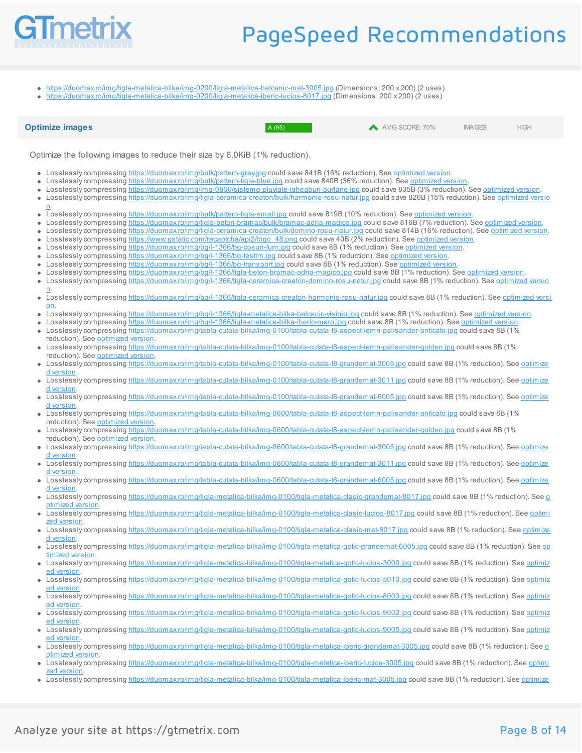

<https://duomax.ro/img/tigla-metalica-bilka/img-0200/tigla-metalica-balcanic-mat-3005.jpg> (Dimensions: 200 x 200) (2 uses)

<https://duomax.ro/img/tigla-metalica-bilka/img-0200/tigla-metalica-iberic-lucios-8017.jpg> (Dimensions: 200 x 200) (2 uses)  $\bullet$ 

**Optimize images A (95) A (95) A (95) A (95) A AVG SCORE: 70% IMAGES HIGH** 

Optimize the following images to reduce their size by 6.0KiB (1% reduction).

- Losslessly compressing <https://duomax.ro/img/bulk/pattern-gray.jpg> could save 841B (16% reduction). See [optimized](https://gtmetrix.com/reports/duomax.ro/uNOh1lnv/pagespeed/pattern-gray_7a1255ffbb74f18eba544846362e496d.jpg) version.
- Losslessly compressing <https://duomax.ro/img/bulk/pattern-tigla-blue.jpg> could save 840B (36% reduction). See [optimized](https://gtmetrix.com/reports/duomax.ro/uNOh1lnv/pagespeed/pattern-tigla-blue_e48fae49ed36e6a7d5c928e1cf59dc78.jpg) version.  $\bullet$
- Losslessly compressing <https://duomax.ro/img/img-0800/sisteme-pluviale-jgheaburi-burlane.jpg> could save 835B (3% reduction). See [optimized](https://gtmetrix.com/reports/duomax.ro/uNOh1lnv/pagespeed/sisteme-pluviale-jgheaburi-burlane_988b447b83c050a569eac4424123e71f.jpg) version.  $\bullet$
- Losslessly compressing [https://duomax.ro/img/tigla-ceramica-creaton/bulk/harmonie-rosu-natur.jp](https://duomax.ro/img/tigla-ceramica-creaton/bulk/harmonie-rosu-natur.jpg)[g](https://gtmetrix.com/reports/duomax.ro/uNOh1lnv/pagespeed/harmonie-rosu-natur_902648b57b30f8d312b2c5e4b183893b.jpg) could save 826B (15% reduction). See optimized versio n.
- Losslesslycompressing <https://duomax.ro/img/bulk/pattern-tigla-small.jpg> could save 819B (10% reduction). See [optimized](https://gtmetrix.com/reports/duomax.ro/uNOh1lnv/pagespeed/pattern-tigla-small_379bc3437921d487e0a48b0967a35313.jpg) version.
- $\bullet$ Losslessly compressing <https://duomax.ro/img/tigla-beton-bramac/bulk/bramac-adria-magico.jpg> could save 816B (7% reduction). See [optimized](https://gtmetrix.com/reports/duomax.ro/uNOh1lnv/pagespeed/bramac-adria-magico_5cae868b5a72d83ed906b92f5e382dea.jpg) version.
- Losslessly compressing <https://duomax.ro/img/tigla-ceramica-creaton/bulk/domino-rosu-natur.jpg> could save 814B (16% reduction). See [optimized](https://gtmetrix.com/reports/duomax.ro/uNOh1lnv/pagespeed/domino-rosu-natur_7dc192bc6e60a32044311379263701cf.jpg) version.  $\bullet$
- Losslessly compressing [https://www.gstatic.com/recaptcha/api2/logo\\_48.png](https://www.gstatic.com/recaptcha/api2/logo_48.png) could save 40B (2% reduction). See [optimized](https://gtmetrix.com/reports/duomax.ro/uNOh1lnv/pagespeed/logo_48_588a78e92915ac42f5b5c520750400a0.png) version.  $\bullet$
- Losslessly compressing <https://duomax.ro/img/bg/l-1366/bg-cosuri-fum.jpg> could save 8B (1% reduction). See [optimized](https://gtmetrix.com/reports/duomax.ro/uNOh1lnv/pagespeed/bg-cosuri-fum_c5b5275476423a850eaf63d83d87d24e.jpg) version.  $\bullet$
- Losslessly compressing <https://duomax.ro/img/bg/l-1366/bg-testim.jpg> could save 8B (1% reduction). See [optimized](https://gtmetrix.com/reports/duomax.ro/uNOh1lnv/pagespeed/bg-testim_564761d6f219567bd8851cefb0ee19fb.jpg) version.  $\bullet$
- Losslessly compressing <https://duomax.ro/img/bg/l-1366/bg-transport.jpg> could save 8B (1% reduction). See [optimized](https://gtmetrix.com/reports/duomax.ro/uNOh1lnv/pagespeed/bg-transport_c122dc63d63d19de1fde48682c91fa09.jpg) version  $\bullet$
- Losslessly compressing <https://duomax.ro/img/bg/l-1366/tigla-beton-bramac-adria-magico.jpg> could save 8B (1% reduction). See [optimized](https://gtmetrix.com/reports/duomax.ro/uNOh1lnv/pagespeed/tigla-beton-bramac-adria-magico_79aae76e38632d95fde9565d30cd8ff0.jpg) version.  $\bullet$
- Losslessly compressing [https://duomax.ro/img/bg/l-1366/tigla-ceramica-creaton-domino-rosu-natur.jpg](https://gtmetrix.com/reports/duomax.ro/uNOh1lnv/pagespeed/tigla-ceramica-creaton-domino-rosu-natur_36b5cc29c736374b1d7650df7f146e86.jpg) could save 8B (1% reduction). See optimized versio n.
- Losslessly compressing <https://duomax.ro/img/bg/l-1366/tigla-ceramica-creaton-harmonie-rosu-natur.jpg> could save 8B (1% reduction). See optimized versi  $\bullet$ on.
- Losslessly compressing <https://duomax.ro/img/bg/l-1366/tigla-metalica-bilka-balcanic-visiniu.jpg> could save 8B (1% reduction). See [optimized](https://gtmetrix.com/reports/duomax.ro/uNOh1lnv/pagespeed/tigla-metalica-bilka-balcanic-visiniu_6f6a3d87bace5bbc5db346a1f717becc.jpg) version.  $\bullet$
- Losslessly compressing <https://duomax.ro/img/bg/l-1366/tigla-metalica-bilka-iberic-maro.jpg> could save 8B (1% reduction). See [optimized](https://gtmetrix.com/reports/duomax.ro/uNOh1lnv/pagespeed/tigla-metalica-bilka-iberic-maro_2a80aeebe8f64278c6f134ee20c8bed6.jpg) version.  $\bullet$
- Losslessly compressing <https://duomax.ro/img/tabla-cutata-bilka/img-0100/tabla-cutata-t8-aspect-lemn-palisander-anticato.jpg> could save 8B (1%)
- reduction). See [optimized](https://gtmetrix.com/reports/duomax.ro/uNOh1lnv/pagespeed/tabla-cutata-t8-aspect-lemn-palisander-anticato_ca2e682971eedbf46317a60a2603b902.jpg) version. Losslessly compressing <https://duomax.ro/img/tabla-cutata-bilka/img-0100/tabla-cutata-t8-aspect-lemn-palisander-golden.jpg> could save 8B (1%) reduction). See [optimized](https://gtmetrix.com/reports/duomax.ro/uNOh1lnv/pagespeed/tabla-cutata-t8-aspect-lemn-palisander-golden_8a488f204e98671c5689b550d9a05ef3.jpg) version.
- Losslessly compressing [https://duomax.ro/img/tabla-cutata-bilka/img-0100/tabla-cutata-t8-grandemat-3005.jp](https://duomax.ro/img/tabla-cutata-bilka/img-0100/tabla-cutata-t8-grandemat-3005.jpg)[g](https://gtmetrix.com/reports/duomax.ro/uNOh1lnv/pagespeed/tabla-cutata-t8-grandemat-3005_725d3128c27f7e0d8fdf81cdeb4ecfec.jpg) could save 8B (1% reduction). See optimize d version.
- Losslessly compressing [https://duomax.ro/img/tabla-cutata-bilka/img-0100/tabla-cutata-t8-grandemat-3011.jpg](https://gtmetrix.com/reports/duomax.ro/uNOh1lnv/pagespeed/tabla-cutata-t8-grandemat-3011_03ac75dccff587589cb986a224e2ee6f.jpg) could save 8B (1% reduction). See optimize d version.
- Losslesslycompressing [https://duomax.ro/img/tabla-cutata-bilka/img-0100/tabla-cutata-t8-grandemat-6005.jpg](https://gtmetrix.com/reports/duomax.ro/uNOh1lnv/pagespeed/tabla-cutata-t8-grandemat-6005_80fc21a683331482c4ab28b88aa1ba36.jpg) could save 8B (1% reduction). See optimize d version.
- Losslessly compressing <https://duomax.ro/img/tabla-cutata-bilka/img-0600/tabla-cutata-t8-aspect-lemn-palisander-anticato.jpg> could save 8B (1%) reduction). See [optimized](https://gtmetrix.com/reports/duomax.ro/uNOh1lnv/pagespeed/tabla-cutata-t8-aspect-lemn-palisander-anticato_2b7c20101248418e94dcd6cbd2553f88.jpg) version.
- Losslessly compressing <https://duomax.ro/img/tabla-cutata-bilka/img-0600/tabla-cutata-t8-aspect-lemn-palisander-golden.jpg> could save 8B (1%)  $\bullet$
- reduction). See [optimized](https://gtmetrix.com/reports/duomax.ro/uNOh1lnv/pagespeed/tabla-cutata-t8-aspect-lemn-palisander-golden_fc7c737131b8da8b62f4168e749d616b.jpg) version.
- Losslessly compressing [https://duomax.ro/img/tabla-cutata-bilka/img-0600/tabla-cutata-t8-grandemat-3005.jp](https://duomax.ro/img/tabla-cutata-bilka/img-0600/tabla-cutata-t8-grandemat-3005.jpg)[g](https://gtmetrix.com/reports/duomax.ro/uNOh1lnv/pagespeed/tabla-cutata-t8-grandemat-3005_534476ce8535b76be4bcad053ab2bc06.jpg) could save 8B (1% reduction). See optimize d version.
- Losslessly compressing [https://duomax.ro/img/tabla-cutata-bilka/img-0600/tabla-cutata-t8-grandemat-3011.jpg](https://gtmetrix.com/reports/duomax.ro/uNOh1lnv/pagespeed/tabla-cutata-t8-grandemat-3011_5a7bf822e3e7f66eb3e0c186b6d88cef.jpg) could save 8B (1% reduction). See optimize d version.
- Losslessly compressing [https://duomax.ro/img/tabla-cutata-bilka/img-0600/tabla-cutata-t8-grandemat-6005.jp](https://duomax.ro/img/tabla-cutata-bilka/img-0600/tabla-cutata-t8-grandemat-6005.jpg)[g](https://gtmetrix.com/reports/duomax.ro/uNOh1lnv/pagespeed/tabla-cutata-t8-grandemat-6005_b60ccbf45d4e0a8f8046f8f2fef8318c.jpg) could save 8B (1% reduction). See optimize d version.
- Losslessly compressing [https://duomax.ro/img/tigla-metalica-bilka/img-0100/tigla-metalica-clasic-grandemat-8017.jpg](https://gtmetrix.com/reports/duomax.ro/uNOh1lnv/pagespeed/tigla-metalica-clasic-grandemat-8017_c4ee55081ac259df1f7cfc99a405e6d1.jpg) could save 8B (1% reduction). See o
- ptimized version. Losslessly compressing [https://duomax.ro/img/tigla-metalica-bilka/img-0100/tigla-metalica-clasic-lucios-8017.jp](https://duomax.ro/img/tigla-metalica-bilka/img-0100/tigla-metalica-clasic-lucios-8017.jpg)[g](https://gtmetrix.com/reports/duomax.ro/uNOh1lnv/pagespeed/tigla-metalica-clasic-lucios-8017_762e27d4ec53d83795cd3837642a86a7.jpg) could save 8B (1% reduction). See optimi zed version
- Losslessly compressing [https://duomax.ro/img/tigla-metalica-bilka/img-0100/tigla-metalica-clasic-mat-8017.jpg](https://gtmetrix.com/reports/duomax.ro/uNOh1lnv/pagespeed/tigla-metalica-clasic-mat-8017_2bb456158b9534189bfe973ebde0c2f5.jpg) could save 8B (1% reduction). See optimize d version.
- Losslessly compressing [https://duomax.ro/img/tigla-metalica-bilka/img-0100/tigla-metalica-gotic-grandemat-6005.jp](https://duomax.ro/img/tigla-metalica-bilka/img-0100/tigla-metalica-gotic-grandemat-6005.jpg)[g](https://gtmetrix.com/reports/duomax.ro/uNOh1lnv/pagespeed/tigla-metalica-gotic-grandemat-6005_94aaebda02414a9123986c6475f140ed.jpg) could save 8B (1% reduction). See op timized version.
- Losslessly compressing [https://duomax.ro/img/tigla-metalica-bilka/img-0100/tigla-metalica-gotic-lucios-3000.jpg](https://gtmetrix.com/reports/duomax.ro/uNOh1lnv/pagespeed/tigla-metalica-gotic-lucios-3000_9b3b1eaadca10fade9f716f6a0f1e3c4.jpg) could save 8B (1% reduction). See optimiz  $\bullet$ ed version
- Losslessly compressing [https://duomax.ro/img/tigla-metalica-bilka/img-0100/tigla-metalica-gotic-lucios-5010.jpg](https://gtmetrix.com/reports/duomax.ro/uNOh1lnv/pagespeed/tigla-metalica-gotic-lucios-5010_2b847816c0703ad3c0a3004c6e443215.jpg) could save 8B (1% reduction). See optimiz ed version.
- Losslessly compressing <https://duomax.ro/img/tigla-metalica-bilka/img-0100/tigla-metalica-gotic-lucios-8003.jpg> could save 8B (1% reduction). See optimiz ed version.
- Losslessly compressing <https://duomax.ro/img/tigla-metalica-bilka/img-0100/tigla-metalica-gotic-lucios-9002.jpg> could save 8B (1% reduction). See optimiz ed version
- Losslesslycompressing [https://duomax.ro/img/tigla-metalica-bilka/img-0100/tigla-metalica-gotic-lucios-9005.jpg](https://gtmetrix.com/reports/duomax.ro/uNOh1lnv/pagespeed/tigla-metalica-gotic-lucios-9005_5eaf4113e930604293704538dc63ccf4.jpg) could save 8B (1% reduction). See optimiz ed version.
- Losslessly compressing [https://duomax.ro/img/tigla-metalica-bilka/img-0100/tigla-metalica-iberic-grandemat-3005.jpg](https://gtmetrix.com/reports/duomax.ro/uNOh1lnv/pagespeed/tigla-metalica-iberic-grandemat-3005_c22bbed737473a6b046e3640f000f009.jpg) could save 8B (1% reduction). See o ptimized version.
- Losslessly compressing [https://duomax.ro/img/tigla-metalica-bilka/img-0100/tigla-metalica-iberic-lucios-3005.jpg](https://gtmetrix.com/reports/duomax.ro/uNOh1lnv/pagespeed/tigla-metalica-iberic-lucios-3005_18ebd0d3934f68b7806391a5996d4457.jpg) could save 8B (1% reduction). See optimi
- zed version. Losslessly compressing [https://duomax.ro/img/tigla-metalica-bilka/img-0100/tigla-metalica-iberic-mat-3005.jp](https://duomax.ro/img/tigla-metalica-bilka/img-0100/tigla-metalica-iberic-mat-3005.jpg)[g](https://gtmetrix.com/reports/duomax.ro/uNOh1lnv/pagespeed/tigla-metalica-iberic-mat-3005_b2a952c3add4059324c3d556cf496d39.jpg) could save 8B (1% reduction). See optimize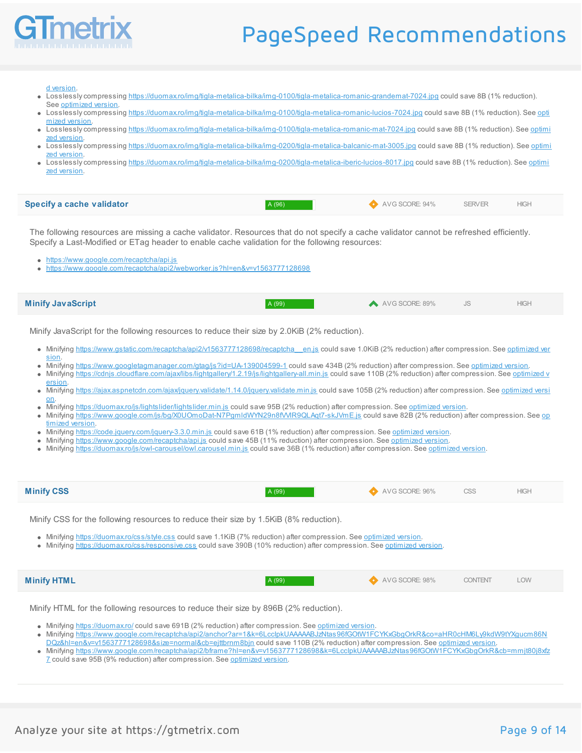

d version.

- Losslessly compressing <https://duomax.ro/img/tigla-metalica-bilka/img-0100/tigla-metalica-romanic-grandemat-7024.jpg> could save 8B (1% reduction).
- See [optimized](https://gtmetrix.com/reports/duomax.ro/uNOh1lnv/pagespeed/tigla-metalica-romanic-grandemat-7024_822d6fef181ae318fc8bbee43901faa0.jpg) version.
- Losslessly compressing [https://duomax.ro/img/tigla-metalica-bilka/img-0100/tigla-metalica-romanic-lucios-7024.jp](https://duomax.ro/img/tigla-metalica-bilka/img-0100/tigla-metalica-romanic-lucios-7024.jpg)[g](https://gtmetrix.com/reports/duomax.ro/uNOh1lnv/pagespeed/tigla-metalica-romanic-lucios-7024_6b563681714af137cb595638dd753dff.jpg) could save 8B (1% reduction). See opti
- mized version. Losslessly compressing [https://duomax.ro/img/tigla-metalica-bilka/img-0100/tigla-metalica-romanic-mat-7024.jpg](https://gtmetrix.com/reports/duomax.ro/uNOh1lnv/pagespeed/tigla-metalica-romanic-mat-7024_98766458d80c5a23266b27104769289a.jpg) could save 8B (1% reduction). See optimi
- zed version. Losslesslycompressing [https://duomax.ro/img/tigla-metalica-bilka/img-0200/tigla-metalica-balcanic-mat-3005.jpg](https://gtmetrix.com/reports/duomax.ro/uNOh1lnv/pagespeed/tigla-metalica-balcanic-mat-3005_921008b972202683bd73f9d8c68bae38.jpg) could save 8B (1% reduction). See optimi
- zed version Losslessly compressing [https://duomax.ro/img/tigla-metalica-bilka/img-0200/tigla-metalica-iberic-lucios-8017.jpg](https://gtmetrix.com/reports/duomax.ro/uNOh1lnv/pagespeed/tigla-metalica-iberic-lucios-8017_94032e05a817748220daf978cbde6180.jpg) could save 8B (1% reduction). See optimi

zed version.

| <b>Specify a cache validator</b> | A (96) | AVG SCORE: 94% | <b>SERVER</b> | <b>HIGH</b> |  |
|----------------------------------|--------|----------------|---------------|-------------|--|
|----------------------------------|--------|----------------|---------------|-------------|--|

The following resources are missing a cache validator. Resources that do not specify a cache validator cannot be refreshed efficiently. Specify a Last-Modified or ETag header to enable cache validation for the following resources:

- <https://www.google.com/recaptcha/api.js>
- <https://www.google.com/recaptcha/api2/webworker.js?hl=en&v=v1563777128698>

| <b>Minify JavaScript</b> | A (99) | AVG SCORE: 89% | <b>HIGH</b> |
|--------------------------|--------|----------------|-------------|
|                          |        |                |             |

Minify JavaScript for the following resources to reduce their size by 2.0KiB (2% reduction).

- Minifying [https://www.gstatic.com/recaptcha/api2/v1563777128698/recaptcha\\_\\_en.js](https://gtmetrix.com/reports/duomax.ro/uNOh1lnv/pagespeed/recaptcha__en_005f592d88850ddc494bbd3753a9cac8.js) could save 1.0KiB (2% reduction) after compression. See optimized ver sion.
- Minifying <https://www.googletagmanager.com/gtag/js?id=UA-139004599-1> could save 434B (2% reduction) after compression. See [optimized](https://gtmetrix.com/reports/duomax.ro/uNOh1lnv/pagespeed/js_c22e6daee6aa8dcbaf4355249d618f2e.js) version.
- $\bullet$ Minifying [https://cdnjs.cloudflare.com/ajax/libs/lightgallery/1.2.19/js/lightgallery-all.min.js](https://gtmetrix.com/reports/duomax.ro/uNOh1lnv/pagespeed/lightgallery-all.min_8babab56162f4e38021f3cc888092e76.js) could save 110B (2% reduction) after compression. See optimized v ersion.
- Minifying [h](https://gtmetrix.com/reports/duomax.ro/uNOh1lnv/pagespeed/jquery.validate.min_537b06e93edc41da8fb0cbda108a815b.js)[ttps://ajax.aspnetcdn.com/ajax/jquery.validate/1.14.0/jquery.validate.min.j](https://ajax.aspnetcdn.com/ajax/jquery.validate/1.14.0/jquery.validate.min.js)[s](https://gtmetrix.com/reports/duomax.ro/uNOh1lnv/pagespeed/jquery.validate.min_537b06e93edc41da8fb0cbda108a815b.js) could save 105B (2% reduction) after compression. See optimized versi  $\bullet$ on.
- Minifying <https://duomax.ro/js/lightslider/lightslider.min.js> could save 95B (2% reduction) after compression. See [optimized](https://gtmetrix.com/reports/duomax.ro/uNOh1lnv/pagespeed/lightslider.min_b17caf72b8edffe1fb060239ded42f52.js) version.
- Minifying [h](https://gtmetrix.com/reports/duomax.ro/uNOh1lnv/pagespeed/X0UOmoDat-N7PgmldWYN29n8fVVlR9QLAqt7-skJVmE_f4314b72fa30d4d64cbde11b2d9cfcce.js)ttps://www.google.com/js/bg/X0UOmoDat-N7PgmldWYN29n8fWIR9QLAqt7-skJVmE.js could save 82B (2% reduction) after compression. See op  $\bullet$ timized version.
- Minifying <https://code.jquery.com/jquery-3.3.0.min.js> could save 61B (1% reduction) after compression. See [optimized](https://gtmetrix.com/reports/duomax.ro/uNOh1lnv/pagespeed/jquery-3.3.0.min_80f5df4abab3bb81e1d6c446c63ddfd8.js) version.
- Minifying <https://www.google.com/recaptcha/api.js> could save 45B (11% reduction) after compression. See [optimized](https://gtmetrix.com/reports/duomax.ro/uNOh1lnv/pagespeed/api_fe43645cceb719e508fdc19ab000fcd9.js) version.
- Minifying <https://duomax.ro/js/owl-carousel/owl.carousel.min.js> could save 36B (1% reduction) after compression. See [optimized](https://gtmetrix.com/reports/duomax.ro/uNOh1lnv/pagespeed/owl.carousel.min_0d705c03ee751ecea41476fbfcc9a5ca.js) version.

| <b>Minify CSS</b> | A (99). | AVG SCORE: 96% | CSS | HIGH |  |
|-------------------|---------|----------------|-----|------|--|
|                   |         |                |     |      |  |

Minify CSS for the following resources to reduce their size by 1.5KiB (8% reduction).

- Minifying <https://duomax.ro/css/style.css> could save 1.1KiB (7% reduction) after compression. See [optimized](https://gtmetrix.com/reports/duomax.ro/uNOh1lnv/pagespeed/style_2f75a5fb725d74000802e30465b0117b.css) version.
- Minifying <https://duomax.ro/css/responsive.css> could save 390B (10% reduction) after compression. See [optimized](https://gtmetrix.com/reports/duomax.ro/uNOh1lnv/pagespeed/responsive_49631598e853719972003157e61a570d.css) version.

| <b>Minify HTML</b> | A (99) | AVG SCORE: 98% | <b>CONTENT</b> | LOW |
|--------------------|--------|----------------|----------------|-----|
|                    |        |                |                |     |

Minify HTML for the following resources to reduce their size by 896B (2% reduction).

- Minifying <https://duomax.ro/> could save 691B (2% reduction) after compression. See [optimized](https://gtmetrix.com/reports/duomax.ro/uNOh1lnv/pagespeed/_09b38f837fc0562351abfa09d7f572f0.html) version.
- Minifying [https://www.google.com/recaptcha/api2/anchor?ar=1&k=6LccIpkUAAAAABJzNtas96fGOtW1FCYKxGbgOrkR&co=aHR0cHM6Ly9kdW9tYXgucm86N](https://www.google.com/recaptcha/api2/anchor?ar=1&k=6LccIpkUAAAAABJzNtas96fGOtW1FCYKxGbgOrkR&co=aHR0cHM6Ly9kdW9tYXgucm86NDQz&hl=en&v=v1563777128698&size=normal&cb=ejttbrnm8bjn)
- DQz&hl=en&v=v1563777128698&size=normal&cb=ejttbrnm8bjn could save 110B (2% reduction) after compression. See [optimized](https://gtmetrix.com/reports/duomax.ro/uNOh1lnv/pagespeed/anchor_470658d7194c4d5c5a9c54312d0ebc9e.html) version.
- Minifying https://www.google.com/recaptcha/api2/bframe?hl=en&v=v1563777128698&k=6LcclpkUAAAAABJzNtas96fGOtW1FCYKxGbqOrkR&cb=mmit80i8xfz 7 could save 95B (9% reduction) after compression. See [optimized](https://gtmetrix.com/reports/duomax.ro/uNOh1lnv/pagespeed/bframe_7640774b1d64f896a9f07f5f9a73e5f1.html) version.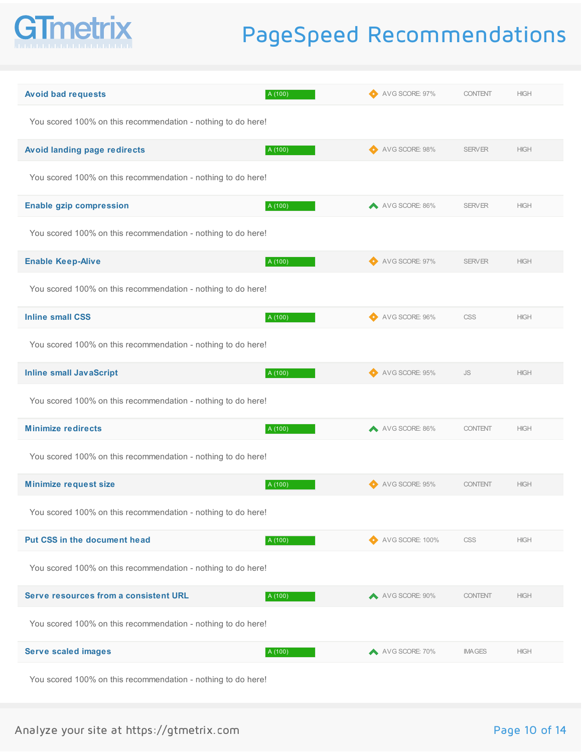

| <b>Avoid bad requests</b><br>A (100)                         | AVG SCORE: 97%  | <b>CONTENT</b> | <b>HIGH</b> |
|--------------------------------------------------------------|-----------------|----------------|-------------|
| You scored 100% on this recommendation - nothing to do here! |                 |                |             |
| <b>Avoid landing page redirects</b><br>A (100)               | AVG SCORE: 98%  | <b>SERVER</b>  | <b>HIGH</b> |
| You scored 100% on this recommendation - nothing to do here! |                 |                |             |
| <b>Enable gzip compression</b><br>A (100)                    | AVG SCORE: 86%  | <b>SERVER</b>  | <b>HIGH</b> |
| You scored 100% on this recommendation - nothing to do here! |                 |                |             |
| <b>Enable Keep-Alive</b><br>A (100)                          | AVG SCORE: 97%  | <b>SERVER</b>  | <b>HIGH</b> |
| You scored 100% on this recommendation - nothing to do here! |                 |                |             |
| <b>Inline small CSS</b><br>A (100)                           | AVG SCORE: 96%  | <b>CSS</b>     | <b>HIGH</b> |
| You scored 100% on this recommendation - nothing to do here! |                 |                |             |
| <b>Inline small JavaScript</b><br>A (100)                    | AVG SCORE: 95%  | JS.            | <b>HIGH</b> |
| You scored 100% on this recommendation - nothing to do here! |                 |                |             |
| <b>Minimize redirects</b><br>A (100)                         | AVG SCORE: 86%  | <b>CONTENT</b> | <b>HIGH</b> |
| You scored 100% on this recommendation - nothing to do here! |                 |                |             |
| <b>Minimize request size</b><br>A (100)                      | AVG SCORE: 95%  | <b>CONTENT</b> | <b>HIGH</b> |
| You scored 100% on this recommendation - nothing to do here! |                 |                |             |
| <b>Put CSS in the document head</b><br>A (100)               | AVG SCORE: 100% | <b>CSS</b>     | <b>HIGH</b> |
| You scored 100% on this recommendation - nothing to do here! |                 |                |             |
| Serve resources from a consistent URL<br>A (100)             | AVG SCORE: 90%  | <b>CONTENT</b> | <b>HIGH</b> |
| You scored 100% on this recommendation - nothing to do here! |                 |                |             |
| <b>Serve scaled images</b><br>A (100)                        | A VG SCORE: 70% | <b>IMAGES</b>  | <b>HIGH</b> |
| You scored 100% on this recommendation - nothing to do here! |                 |                |             |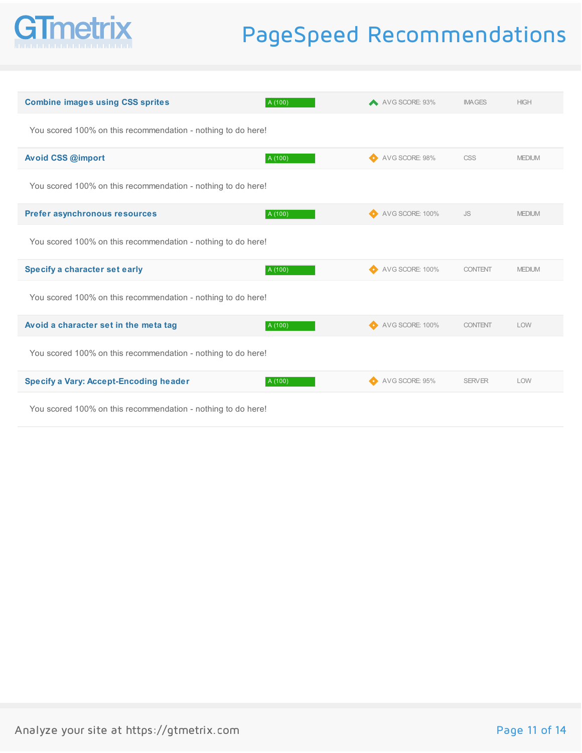

| <b>Combine images using CSS sprites</b>                      | A (100) | AVG SCORE: 93%  | <b>IMAGES</b>  | <b>HIGH</b>   |
|--------------------------------------------------------------|---------|-----------------|----------------|---------------|
| You scored 100% on this recommendation - nothing to do here! |         |                 |                |               |
| Avoid CSS @import                                            | A (100) | AVG SCORE: 98%  | <b>CSS</b>     | <b>MEDIUM</b> |
| You scored 100% on this recommendation - nothing to do here! |         |                 |                |               |
| Prefer asynchronous resources                                | A (100) | AVG SCORE: 100% | <b>JS</b>      | <b>MEDIUM</b> |
| You scored 100% on this recommendation - nothing to do here! |         |                 |                |               |
| Specify a character set early                                | A (100) | AVG SCORE: 100% | <b>CONTENT</b> | <b>MEDIUM</b> |
| You scored 100% on this recommendation - nothing to do here! |         |                 |                |               |
| Avoid a character set in the meta tag                        | A (100) | AVG SCORE: 100% | <b>CONTENT</b> | LOW           |
| You scored 100% on this recommendation - nothing to do here! |         |                 |                |               |
| <b>Specify a Vary: Accept-Encoding header</b>                | A (100) | AVG SCORE: 95%  | <b>SERVER</b>  | LOW           |
| Vou coored 100% on this recommendation nothing to do haral   |         |                 |                |               |

You scored 100% on this recommendation - nothing to do here!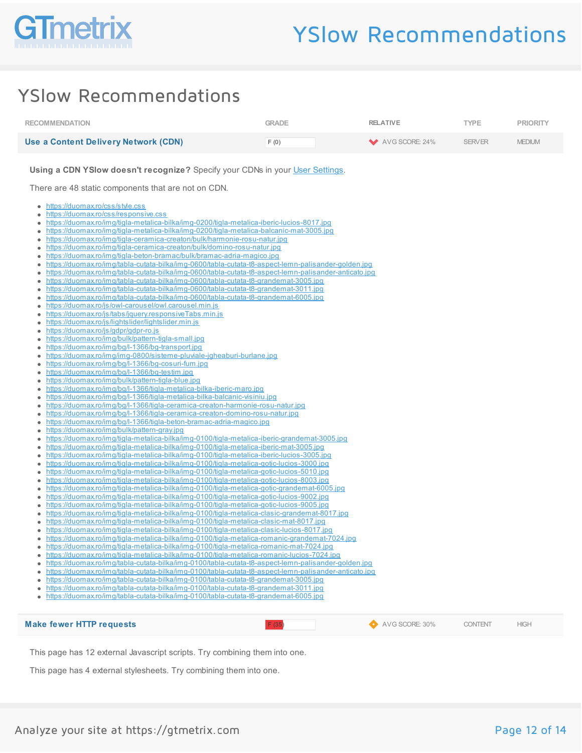

### YSlow Recommendations

| <b>RECOMMENDATION</b>                                                                                                                                                                                                                                                                                                                                                                                                                                                                                                                                                                                                                                                                                                                                                                                                                                                                                                                                                                                                                                                                                                                                                                                                                                                                                                                                                                                                                                                                                                                                                                                                                                                                                                                                                                                                                                                                                                                                                                                                                                                                                                                                                                                                                                                                                                                                                                                                                 | <b>GRADE</b> | <b>RELATIVE</b> | <b>TYPE</b>    | <b>PRIORITY</b> |
|---------------------------------------------------------------------------------------------------------------------------------------------------------------------------------------------------------------------------------------------------------------------------------------------------------------------------------------------------------------------------------------------------------------------------------------------------------------------------------------------------------------------------------------------------------------------------------------------------------------------------------------------------------------------------------------------------------------------------------------------------------------------------------------------------------------------------------------------------------------------------------------------------------------------------------------------------------------------------------------------------------------------------------------------------------------------------------------------------------------------------------------------------------------------------------------------------------------------------------------------------------------------------------------------------------------------------------------------------------------------------------------------------------------------------------------------------------------------------------------------------------------------------------------------------------------------------------------------------------------------------------------------------------------------------------------------------------------------------------------------------------------------------------------------------------------------------------------------------------------------------------------------------------------------------------------------------------------------------------------------------------------------------------------------------------------------------------------------------------------------------------------------------------------------------------------------------------------------------------------------------------------------------------------------------------------------------------------------------------------------------------------------------------------------------------------|--------------|-----------------|----------------|-----------------|
| <b>Use a Content Delivery Network (CDN)</b>                                                                                                                                                                                                                                                                                                                                                                                                                                                                                                                                                                                                                                                                                                                                                                                                                                                                                                                                                                                                                                                                                                                                                                                                                                                                                                                                                                                                                                                                                                                                                                                                                                                                                                                                                                                                                                                                                                                                                                                                                                                                                                                                                                                                                                                                                                                                                                                           | F(0)         | AVG SCORE: 24%  | <b>SERVER</b>  | <b>MEDIUM</b>   |
| Using a CDN YSlow doesn't recognize? Specify your CDNs in your User Settings.<br>There are 48 static components that are not on CDN.<br>https://duomax.ro/css/style.css<br>$\bullet$<br>https://duomax.ro/css/responsive.css<br>https://duomax.ro/img/tigla-metalica-bilka/img-0200/tigla-metalica-iberic-lucios-8017.jpg<br>https://duomax.ro/img/tigla-metalica-bilka/img-0200/tigla-metalica-balcanic-mat-3005.jpg<br>٠<br>https://duomax.ro/img/tigla-ceramica-creaton/bulk/harmonie-rosu-natur.jpg<br>https://duomax.ro/img/tigla-ceramica-creaton/bulk/domino-rosu-natur.jpg<br>https://duomax.ro/img/tigla-beton-bramac/bulk/bramac-adria-magico.jpg<br>۰<br>https://duomax.ro/img/tabla-cutata-bilka/img-0600/tabla-cutata-t8-aspect-lemn-palisander-golden.jpg<br>۰<br>https://duomax.ro/img/tabla-cutata-bilka/img-0600/tabla-cutata-t8-aspect-lemn-palisander-anticato.jpg<br>٠<br>https://duomax.ro/img/tabla-cutata-bilka/img-0600/tabla-cutata-t8-grandemat-3005.jpg<br>٠<br>https://duomax.ro/img/tabla-cutata-bilka/img-0600/tabla-cutata-t8-grandemat-3011.jpg<br>https://duomax.ro/img/tabla-cutata-bilka/img-0600/tabla-cutata-t8-grandemat-6005.jpg<br>https://duomax.ro/js/owl-carousel/owl.carousel.min.js<br>https://duomax.ro/js/tabs/jquery.responsiveTabs.min.js<br>٠<br>https://duomax.ro/js/lightslider/lightslider.min.js<br>٠<br>https://duomax.ro/js/gdpr/gdpr-ro.js<br>٠<br>https://duomax.ro/img/bulk/pattern-tigla-small.jpg<br>https://duomax.ro/img/bg/l-1366/bg-transport.jpg<br>https://duomax.ro/img/img-0800/sisteme-pluviale-jgheaburi-burlane.jpg<br>٠<br>https://duomax.ro/img/bg/l-1366/bg-cosuri-fum.jpg<br>۰<br>https://duomax.ro/img/bg/l-1366/bg-testim.jpg<br>٠<br>https://duomax.ro/img/bulk/pattern-tigla-blue.jpg<br>https://duomax.ro/img/bg/l-1366/tigla-metalica-bilka-iberic-maro.jpg<br>https://duomax.ro/img/bg/l-1366/tigla-metalica-bilka-balcanic-visiniu.jpg<br>https://duomax.ro/img/bg/l-1366/tigla-ceramica-creaton-harmonie-rosu-natur.jpg<br>٠<br>https://duomax.ro/img/bg/l-1366/tigla-ceramica-creaton-domino-rosu-natur.jpg<br>٠<br>https://duomax.ro/img/bg/l-1366/tigla-beton-bramac-adria-magico.jpg<br>٠<br>https://duomax.ro/img/bulk/pattern-gray.jpg<br>٠<br>https://duomax.ro/img/tigla-metalica-bilka/img-0100/tigla-metalica-iberic-grandemat-3005.jpg<br>https://duomax.ro/img/tigla-metalica-bilka/img-0100/tigla-metalica-iberic-mat-3005.jpg<br>۰ |              |                 |                |                 |
| https://duomax.ro/img/tigla-metalica-bilka/img-0100/tigla-metalica-iberic-lucios-3005.jpg<br>٠<br>https://duomax.ro/img/tigla-metalica-bilka/img-0100/tigla-metalica-gotic-lucios-3000.jpg<br>٠<br>https://duomax.ro/img/tigla-metalica-bilka/img-0100/tigla-metalica-gotic-lucios-5010.jpg<br>٠<br>https://duomax.ro/img/tigla-metalica-bilka/img-0100/tigla-metalica-gotic-lucios-8003.jpg<br>https://duomax.ro/img/tigla-metalica-bilka/img-0100/tigla-metalica-gotic-grandemat-6005.ipg<br>https://duomax.ro/img/tigla-metalica-bilka/img-0100/tigla-metalica-gotic-lucios-9002.jpg<br>٠<br>https://duomax.ro/img/tigla-metalica-bilka/img-0100/tigla-metalica-gotic-lucios-9005.jpg<br>٠<br>https://duomax.ro/img/tigla-metalica-bilka/img-0100/tigla-metalica-clasic-grandemat-8017.jpg<br>٠<br>https://duomax.ro/img/tigla-metalica-bilka/img-0100/tigla-metalica-clasic-mat-8017.jpg<br>https://duomax.ro/img/tigla-metalica-bilka/img-0100/tigla-metalica-clasic-lucios-8017.jpg<br>https://duomax.ro/img/tigla-metalica-bilka/img-0100/tigla-metalica-romanic-grandemat-7024.jpg<br>https://duomax.ro/img/tigla-metalica-bilka/img-0100/tigla-metalica-romanic-mat-7024.jpg<br>۰<br>https://duomax.ro/img/tigla-metalica-bilka/img-0100/tigla-metalica-romanic-lucios-7024.jpg<br>https://duomax.ro/imq/tabla-cutata-bilka/imq-0100/tabla-cutata-t8-aspect-lemn-palisander-golden.jpg<br>https://duomax.ro/img/tabla-cutata-bilka/img-0100/tabla-cutata-t8-aspect-lemn-palisander-anticato.ipg<br>https://duomax.ro/img/tabla-cutata-bilka/img-0100/tabla-cutata-t8-grandemat-3005.jpg<br>https://duomax.ro/img/tabla-cutata-bilka/img-0100/tabla-cutata-t8-grandemat-3011.jpg<br>https://duomax.ro/img/tabla-cutata-bilka/img-0100/tabla-cutata-t8-grandemat-6005.jpg<br>٠<br><b>Make fewer HTTP requests</b>                                                                                                                                                                                                                                                                                                                                                                                                                                                                                                                                                                                                              | F(35)        | AVG SCORE: 30%  | <b>CONTENT</b> | <b>HIGH</b>     |

This page has 12 external Javascript scripts. Try combining them into one.

This page has 4 external stylesheets. Try combining them into one.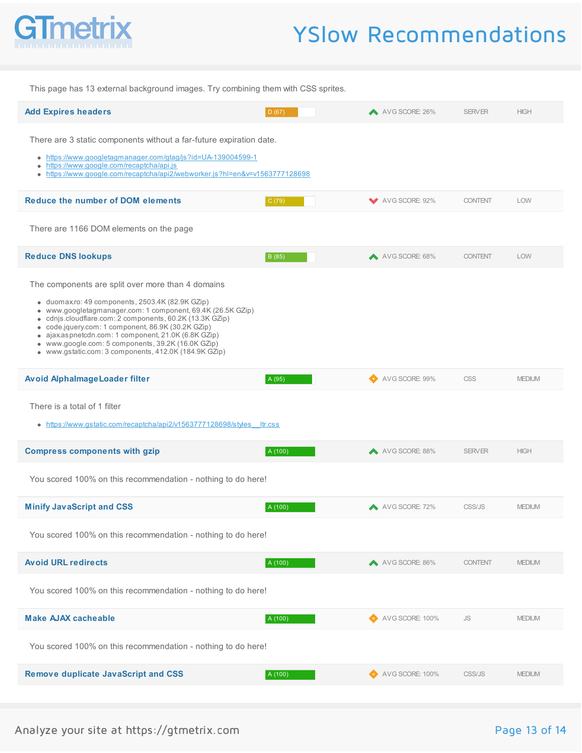

### YSlow Recommendations

This page has 13 external background images. Try combining them with CSS sprites. **Add Expires headers** Material Methods and the Contract of Contract D (67) A D (67) A AVG SCORE: 26% SERVER HIGH There are 3 static components without a far-future expiration date. <https://www.googletagmanager.com/gtag/js?id=UA-139004599-1> <https://www.google.com/recaptcha/api.js> <https://www.google.com/recaptcha/api2/webworker.js?hl=en&v=v1563777128698>  $\bullet$ **Reduce the number of DOM elements** C (79) C (79) COMPRESS CORE: 92% CONTENT LOW There are 1166 DOM elements on the page **Reduce DNS lookups** B (85) B (85) A AVG SCORE: 68% CONTENT LOW The components are split over more than 4 domains duomax.ro: 49 components, 2503.4K (82.9K GZip) www.googletagmanager.com: 1 component, 69.4K (26.5K GZip) cdnjs.cloudflare.com: 2 components, 60.2K (13.3K GZip) code.jquery.com: 1 component, 86.9K (30.2K GZip) ajax.aspnetcdn.com: 1 component, 21.0K (6.8K GZip) www.google.com: 5 components, 39.2K (16.0K GZip) www.gstatic.com: 3 components, 412.0K (184.9K GZip) **Avoid AlphaImageLoader filter** A (95) Avoid Alphania A (95) A VG SCORE: 99% CSS MEDIUM There is a total of 1 filter • https://www.gstatic.com/recaptcha/api2/v1563777128698/styles ltr.css **Compress components with gzip**  $A(100)$   $A(100)$   $A(100)$   $A(100)$   $A(100)$   $A(100)$   $A(100)$   $A(100)$   $A(100)$   $A(100)$   $A(100)$   $A(100)$   $A(100)$   $A(100)$   $A(100)$   $A(100)$   $A(100)$   $A(100)$   $A(100)$   $A(100)$   $A(100)$  You scored 100% on this recommendation - nothing to do here! **Minify JavaScript and CSS** And **A (100)** A (100) A AVG SCORE: 72% CSS/JS MEDIUM You scored 100% on this recommendation - nothing to do here! **Avoid URL redirects** Medium and the settlement of the settlement of a (100) A 4 (100) A 4 (4 AVG SCORE: 86% CONTENT MEDIUM You scored 100% on this recommendation - nothing to do here! **Make AJAX cacheable** A (100) A (100) A (100) A 4VG SCORE: 100% JS MEDIUM You scored 100% on this recommendation - nothing to do here! **Remove duplicate JavaScript and CSS** A **A (100)** A **CSS** AVG SCORE: 100% CSS/JS MEDIUM